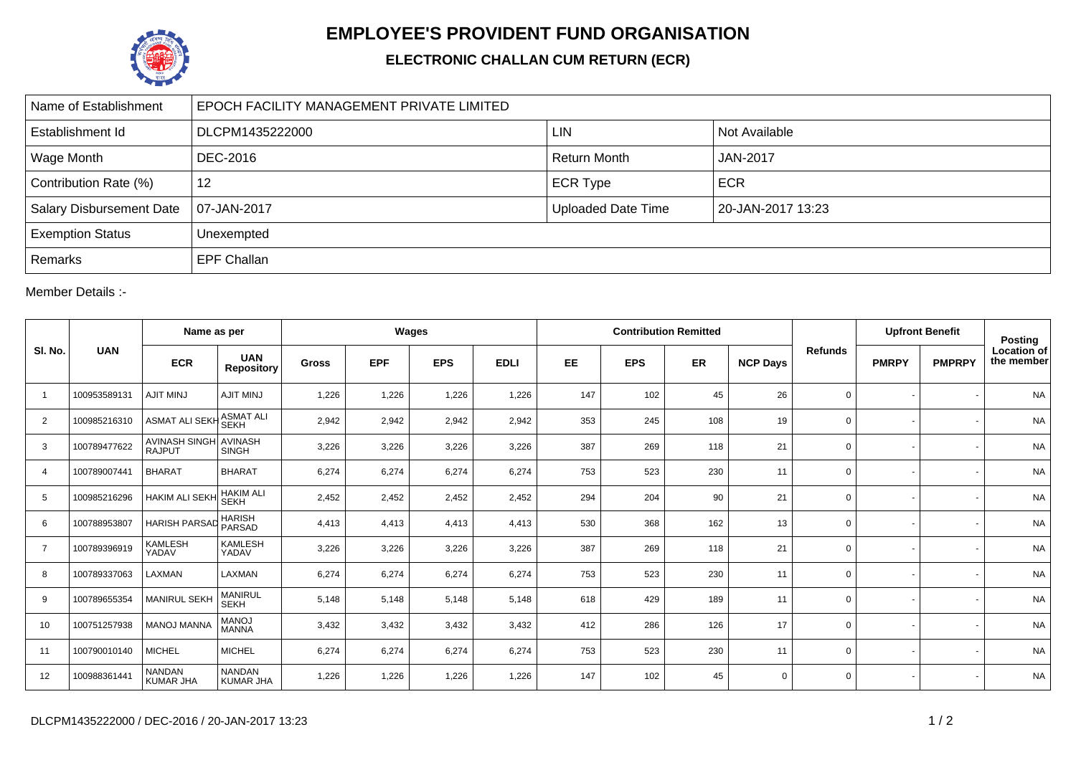

## **EMPLOYEE'S PROVIDENT FUND ORGANISATION**

## **ELECTRONIC CHALLAN CUM RETURN (ECR)**

| Name of Establishment           | EPOCH FACILITY MANAGEMENT PRIVATE LIMITED |                           |                   |  |  |  |  |  |  |  |
|---------------------------------|-------------------------------------------|---------------------------|-------------------|--|--|--|--|--|--|--|
| Establishment Id                | DLCPM1435222000                           | LIN                       | Not Available     |  |  |  |  |  |  |  |
| <b>Wage Month</b>               | DEC-2016                                  | <b>Return Month</b>       | <b>JAN-2017</b>   |  |  |  |  |  |  |  |
| Contribution Rate (%)           | 12                                        | <b>ECR Type</b>           | <b>ECR</b>        |  |  |  |  |  |  |  |
| <b>Salary Disbursement Date</b> | 07-JAN-2017                               | <b>Uploaded Date Time</b> | 20-JAN-2017 13:23 |  |  |  |  |  |  |  |
| <b>Exemption Status</b>         | Unexempted                                |                           |                   |  |  |  |  |  |  |  |
| Remarks                         | <b>EPF Challan</b>                        |                           |                   |  |  |  |  |  |  |  |

Member Details :-

| SI. No.        | <b>UAN</b>   | Name as per                           |                                   | Wages        |            |            |             | <b>Contribution Remitted</b> |            |     |                 |                | <b>Upfront Benefit</b> |               | <b>Posting</b>                   |
|----------------|--------------|---------------------------------------|-----------------------------------|--------------|------------|------------|-------------|------------------------------|------------|-----|-----------------|----------------|------------------------|---------------|----------------------------------|
|                |              | <b>ECR</b>                            | <b>UAN</b><br><b>Repository</b>   | <b>Gross</b> | <b>EPF</b> | <b>EPS</b> | <b>EDLI</b> | EE                           | <b>EPS</b> | ER  | <b>NCP Days</b> | <b>Refunds</b> | <b>PMRPY</b>           | <b>PMPRPY</b> | <b>Location of</b><br>the member |
| -1             | 100953589131 | <b>AJIT MINJ</b>                      | <b>AJIT MINJ</b>                  | 1,226        | 1,226      | 1,226      | 1,226       | 147                          | 102        | 45  | 26              | $\mathbf 0$    |                        |               | <b>NA</b>                        |
| $\overline{2}$ | 100985216310 | <b>ASMAT ALI SEKH</b>                 | ASMAT ALI<br>SEKH                 | 2,942        | 2,942      | 2,942      | 2,942       | 353                          | 245        | 108 | 19              | $\mathbf 0$    |                        |               | <b>NA</b>                        |
| 3              | 100789477622 | <b>AVINASH SINGH</b><br><b>RAJPUT</b> | <b>AVINASH</b><br><b>SINGH</b>    | 3,226        | 3,226      | 3,226      | 3,226       | 387                          | 269        | 118 | 21              | $\mathbf 0$    |                        |               | <b>NA</b>                        |
| $\overline{4}$ | 100789007441 | <b>BHARAT</b>                         | <b>BHARAT</b>                     | 6,274        | 6,274      | 6,274      | 6,274       | 753                          | 523        | 230 | 11              | $\mathbf 0$    |                        |               | <b>NA</b>                        |
| 5              | 100985216296 | <b>HAKIM ALI SEKH</b>                 | <b>HAKIM ALI</b><br><b>SEKH</b>   | 2,452        | 2,452      | 2,452      | 2,452       | 294                          | 204        | 90  | 21              | $\mathbf 0$    |                        |               | <b>NA</b>                        |
| 6              | 100788953807 | <b>HARISH PARSAD</b>                  | HARISH<br>PARSAD                  | 4,413        | 4,413      | 4,413      | 4,413       | 530                          | 368        | 162 | 13              | $\mathbf 0$    |                        |               | <b>NA</b>                        |
| $\overline{7}$ | 100789396919 | <b>KAMLESH</b><br>YADAV               | <b>KAMLESH</b><br>YADAV           | 3,226        | 3,226      | 3,226      | 3,226       | 387                          | 269        | 118 | 21              | $\mathbf 0$    |                        |               | <b>NA</b>                        |
| 8              | 100789337063 | LAXMAN                                | LAXMAN                            | 6,274        | 6,274      | 6,274      | 6,274       | 753                          | 523        | 230 | 11              | $\mathbf 0$    |                        |               | <b>NA</b>                        |
| 9              | 100789655354 | <b>MANIRUL SEKH</b>                   | MANIRUL<br>SEKH                   | 5,148        | 5,148      | 5,148      | 5,148       | 618                          | 429        | 189 | 11              | $\mathbf 0$    |                        |               | <b>NA</b>                        |
| 10             | 100751257938 | <b>MANOJ MANNA</b>                    | <b>MANOJ</b><br><b>MANNA</b>      | 3,432        | 3,432      | 3,432      | 3,432       | 412                          | 286        | 126 | 17              | $\mathbf 0$    |                        |               | <b>NA</b>                        |
| 11             | 100790010140 | <b>MICHEL</b>                         | <b>MICHEL</b>                     | 6,274        | 6,274      | 6,274      | 6,274       | 753                          | 523        | 230 | 11              | $\mathbf 0$    |                        |               | <b>NA</b>                        |
| 12             | 100988361441 | <b>NANDAN</b><br><b>KUMAR JHA</b>     | <b>NANDAN</b><br><b>KUMAR JHA</b> | 1,226        | 1,226      | 1,226      | 1,226       | 147                          | 102        | 45  | $\Omega$        | $\mathbf 0$    |                        |               | <b>NA</b>                        |